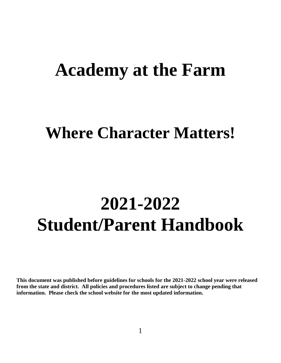## **Academy at the Farm**

## **Where Character Matters!**

# **2021-2022 Student/Parent Handbook**

**This document was published before guidelines for schools for the 2021-2022 school year were released from the state and district. All policies and procedures listed are subject to change pending that information. Please check the school website for the most updated information.**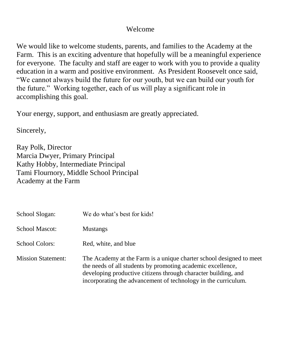## Welcome

We would like to welcome students, parents, and families to the Academy at the Farm. This is an exciting adventure that hopefully will be a meaningful experience for everyone. The faculty and staff are eager to work with you to provide a quality education in a warm and positive environment. As President Roosevelt once said, "We cannot always build the future for our youth, but we can build our youth for the future." Working together, each of us will play a significant role in accomplishing this goal.

Your energy, support, and enthusiasm are greatly appreciated.

Sincerely,

Ray Polk, Director Marcia Dwyer, Primary Principal Kathy Hobby, Intermediate Principal Tami Flournory, Middle School Principal Academy at the Farm

| School Slogan:            | We do what's best for kids!                                                                                                                                                                                                                                            |
|---------------------------|------------------------------------------------------------------------------------------------------------------------------------------------------------------------------------------------------------------------------------------------------------------------|
| <b>School Mascot:</b>     | <b>Mustangs</b>                                                                                                                                                                                                                                                        |
| <b>School Colors:</b>     | Red, white, and blue                                                                                                                                                                                                                                                   |
| <b>Mission Statement:</b> | The Academy at the Farm is a unique charter school designed to meet<br>the needs of all students by promoting academic excellence,<br>developing productive citizens through character building, and<br>incorporating the advancement of technology in the curriculum. |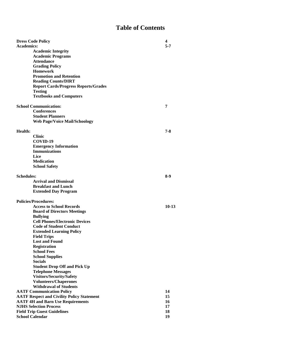## **Table of Contents**

| <b>Dress Code Policy</b>                          |                                             |       |  |
|---------------------------------------------------|---------------------------------------------|-------|--|
| <b>Academics:</b>                                 |                                             |       |  |
|                                                   | <b>Academic Integrity</b>                   |       |  |
|                                                   | <b>Academic Programs</b>                    |       |  |
|                                                   | <b>Attendance</b>                           |       |  |
|                                                   | <b>Grading Policy</b>                       |       |  |
|                                                   | <b>Homework</b>                             |       |  |
|                                                   | <b>Promotion and Retention</b>              |       |  |
|                                                   | <b>Reading Counts/DIRT</b>                  |       |  |
|                                                   | <b>Report Cards/Progress Reports/Grades</b> |       |  |
|                                                   | <b>Testing</b>                              |       |  |
|                                                   | <b>Textbooks and Computers</b>              |       |  |
|                                                   | <b>School Communication:</b>                | 7     |  |
|                                                   | <b>Conferences</b>                          |       |  |
|                                                   | <b>Student Planners</b>                     |       |  |
|                                                   | <b>Web Page/Voice Mail/Schoology</b>        |       |  |
|                                                   |                                             |       |  |
| Health:                                           |                                             | 7-8   |  |
|                                                   | <b>Clinic</b>                               |       |  |
|                                                   | COVID-19                                    |       |  |
|                                                   | <b>Emergency Information</b>                |       |  |
|                                                   | <b>Immunizations</b>                        |       |  |
|                                                   | Lice                                        |       |  |
|                                                   | <b>Medication</b>                           |       |  |
|                                                   | <b>School Safety</b>                        |       |  |
| <b>Schedules:</b>                                 |                                             | 8-9   |  |
|                                                   | <b>Arrival and Dismissal</b>                |       |  |
|                                                   | <b>Breakfast and Lunch</b>                  |       |  |
|                                                   | <b>Extended Day Program</b>                 |       |  |
|                                                   |                                             |       |  |
|                                                   | <b>Policies/Procedures:</b>                 |       |  |
|                                                   | <b>Access to School Records</b>             | 10-13 |  |
|                                                   | <b>Board of Directors Meetings</b>          |       |  |
|                                                   | <b>Bullying</b>                             |       |  |
|                                                   | <b>Cell Phones/Electronic Devices</b>       |       |  |
|                                                   | <b>Code of Student Conduct</b>              |       |  |
|                                                   | <b>Extended Learning Policy</b>             |       |  |
|                                                   | <b>Field Trips</b>                          |       |  |
|                                                   | <b>Lost and Found</b>                       |       |  |
|                                                   | <b>Registration</b>                         |       |  |
|                                                   | <b>School Fees</b>                          |       |  |
|                                                   | <b>School Supplies</b><br><b>Socials</b>    |       |  |
|                                                   | <b>Student Drop Off and Pick Up</b>         |       |  |
|                                                   | <b>Telephone Messages</b>                   |       |  |
|                                                   | Visitors/Security/Safety                    |       |  |
|                                                   | <b>Volunteers/Chaperones</b>                |       |  |
|                                                   | <b>Withdrawal of Students</b>               |       |  |
| <b>AATF Communication Policy</b>                  |                                             |       |  |
| <b>AATF Respect and Civility Policy Statement</b> |                                             |       |  |
| <b>AATF 4H and Barn Use Requirements</b>          |                                             |       |  |
| <b>NJHS Selection Process</b>                     |                                             |       |  |
| <b>Field Trip Guest Guidelines</b>                |                                             |       |  |
| <b>School Calendar</b>                            |                                             |       |  |
|                                                   |                                             |       |  |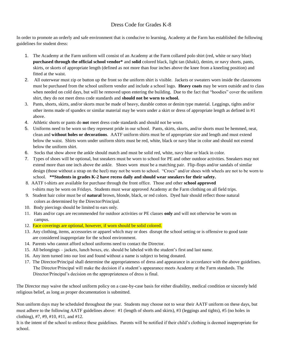#### Dress Code for Grades K-8

In order to promote an orderly and safe environment that is conducive to learning, Academy at the Farm has established the following guidelines for student dress:

- 1. The Academy at the Farm uniform will consist of an Academy at the Farm collared polo shirt (red, white or navy blue) **purchased through the official school vendor\*** and **solid** colored black, light tan (khaki), denim, or navy shorts, pants, skirts, or skorts of appropriate length (defined as not more than four inches above the knee from a kneeling position) and fitted at the waist.
- 2. All outerwear must zip or button up the front so the uniform shirt is visible. Jackets or sweaters worn inside the classrooms must be purchased from the school uniform vendor and include a school logo. **Heavy coats** may be worn outside and to class when needed on cold days, but will be removed upon entering the building. Due to the fact that "hoodies" cover the uniform shirt, they do not meet dress code standards and **should not be worn to school.**
- 3. Pants, shorts, skirts, and/or skorts must be made of heavy, durable cotton or denim type material. Leggings, tights and/or other items made of spandex or similar material may be worn under a skirt or dress of appropriate length as defined in #1 above.
- 4. Athletic shorts or pants do **not** meet dress code standards and should not be worn.
- 5. Uniforms need to be worn so they represent pride in our school. Pants, skirts, skorts, and/or shorts must be hemmed, neat, clean and **without holes or decorations**. AATF uniform shirts must be of appropriate size and length and must extend below the waist. Shirts worn under uniform shirts must be red, white, black or navy blue in color and should not extend below the uniform shirt.
- 6. Socks that show above the ankle should match and must be solid red, white, navy blue or black in color.
- 7. Types of shoes will be optional, but sneakers must be worn to school for PE and other outdoor activities. Sneakers may not extend more than one inch above the ankle. Shoes worn must be a matching pair. Flip-flops and/or sandals of similar design (those without a strap on the heel) may not be worn to school. "Crocs" and/or shoes with wheels are not to be worn to school. **\*\*Students in grades K-2 have recess daily and should wear sneakers for their safety.**
- 8. AATF t-shirts are available for purchase through the front office. Those and other **school approved** t-shirts may be worn on Fridays. Students must wear approved Academy at the Farm clothing on all field trips.
- 9. Student hair color must be of **natural** brown, blonde, black, or red colors. Dyed hair should reflect those natural colors as determined by the Director/Principal.
- 10. Body piercings should be limited to ears only.
- 11. Hats and/or caps are recommended for outdoor activities or PE classes **only** and will not otherwise be worn on campus.
- 12. Face coverings are optional, however, if worn should be solid colored.
- 13. Any clothing, items, accessories or apparel which may or does disrupt the school setting or is offensive to good taste are considered inappropriate for the school environment.
- 14. Parents who cannot afford school uniforms need to contact the Director.
- 15. All belongings jackets, lunch boxes, etc. should be labeled with the student's first and last name.
- 16. Any item turned into our lost and found without a name is subject to being donated.
- 17. The Director/Principal shall determine the appropriateness of dress and appearance in accordance with the above guidelines. The Director/Principal will make the decision if a student's appearance meets Academy at the Farm standards. The Director/Principal's decision on the appropriateness of dress is final.

The Director may waive the school uniform policy on a case-by-case basis for either disability, medical condition or sincerely held religious belief, as long as proper documentation is submitted.

Non uniform days may be scheduled throughout the year. Students may choose not to wear their AATF uniform on these days, but must adhere to the following AATF guidelines above: #1 (length of shorts and skirts), #3 (leggings and tights), #5 (no holes in clothing), #7, #9, #10, #11, and #12.

It is the intent of the school to enforce these guidelines. Parents will be notified if their child's clothing is deemed inappropriate for school.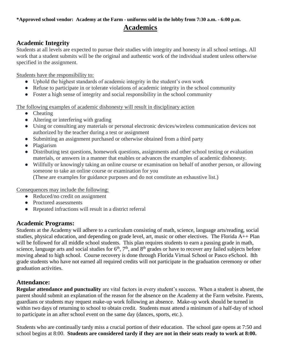### **\*Approved school vendor: Academy at the Farm - uniforms sold in the lobby from 7:30 a.m. - 6:00 p.m. Academics**

#### **Academic Integrity**

Students at all levels are expected to pursue their studies with integrity and honesty in all school settings. All work that a student submits will be the original and authentic work of the individual student unless otherwise specified in the assignment.

Students have the responsibility to:

- Uphold the highest standards of academic integrity in the student's own work
- Refuse to participate in or tolerate violations of academic integrity in the school community
- Foster a high sense of integrity and social responsibility in the school community

The following examples of academic dishonesty will result in disciplinary action

- Cheating
- Altering or interfering with grading
- Using or consulting any materials or personal electronic devices/wireless communication devices not authorized by the teacher during a test or assignment
- Submitting an assignment purchased or otherwise obtained from a third party
- Plagiarism
- Distributing test questions, homework questions, assignments and other school testing or evaluation materials, or answers in a manner that enables or advances the examples of academic dishonesty.
- Willfully or knowingly taking an online course or examination on behalf of another person, or allowing someone to take an online course or examination for you

(These are examples for guidance purposes and do not constitute an exhaustive list.)

Consequences may include the following:

- Reduced/no credit on assignment
- Proctored assessments
- Repeated infractions will result in a district referral

#### **Academic Programs:**

Students at the Academy will adhere to a curriculum consisting of math, science, language arts/reading, social studies, physical education, and depending on grade level, art, music or other electives. The Florida A++ Plan will be followed for all middle school students. This plan requires students to earn a passing grade in math, science, language arts and social studies for  $6<sup>th</sup>$ ,  $7<sup>th</sup>$ , and  $8<sup>th</sup>$  grades or have to recover any failed subjects before moving ahead to high school. Course recovery is done through Florida Virtual School or Pasco eSchool. 8th grade students who have not earned all required credits will not participate in the graduation ceremony or other graduation activities.

#### **Attendance:**

**Regular attendance and punctuality** are vital factors in every student's success. When a student is absent, the parent should submit an explanation of the reason for the absence on the Academy at the Farm website. Parents, guardians or students may request make-up work following an absence. Make-up work should be turned in within two days of returning to school to obtain credit. Students must attend a minimum of a half-day of school to participate in an after school event on the same day (dances, sports, etc.).

Students who are continually tardy miss a crucial portion of their education. The school gate opens at 7:50 and school begins at 8:00. **Students are considered tardy if they are not in their seats ready to work at 8:00.**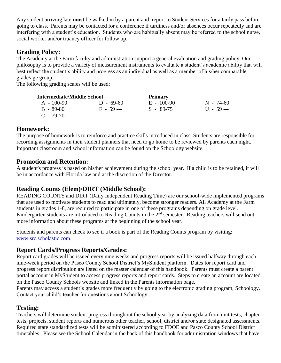Any student arriving late **must** be walked in by a parent and report to Student Services for a tardy pass before going to class**.** Parents may be contacted for a conference if tardiness and/or absences occur repeatedly and are interfering with a student's education. Students who are habitually absent may be referred to the school nurse, social worker and/or truancy officer for follow up.

## **Grading Policy:**

The Academy at the Farm faculty and administration support a general evaluation and grading policy. Our philosophy is to provide a variety of measurement instruments to evaluate a student's academic ability that will best reflect the student's ability and progress as an individual as well as a member of his/her comparable grade/age group.

The following grading scales will be used:

| <b>Intermediate/Middle School</b> |             | <b>Primary</b> |             |
|-----------------------------------|-------------|----------------|-------------|
| $A = 100-90$                      | $D - 69-60$ | $E = 100-90$   | $N - 74-60$ |
| $B - 89-80$                       | $F - 59 -$  | $S - 89-75$    | $11 - 59 -$ |
| $C - 79-70$                       |             |                |             |

#### **Homework:**

The purpose of homework is to reinforce and practice skills introduced in class. Students are responsible for recording assignments in their student planners that need to go home to be reviewed by parents each night. Important classroom and school information can be found on the Schoology website.

#### **Promotion and Retention:**

A student's progress is based on his/her achievement during the school year. If a child is to be retained, it will be in accordance with Florida law and at the discretion of the Director.

## **Reading Counts (Elem)/DIRT (Middle School):**

READING COUNTS and DIRT (Daily Independent Reading Time) are our school-wide implemented programs that are used to motivate students to read and ultimately, become stronger readers. All Academy at the Farm students in grades 1-8, are required to participate in one of these programs depending on grade level. Kindergarten students are introduced to Reading Counts in the 2<sup>nd</sup> semester. Reading teachers will send out more information about these programs at the beginning of the school year.

Students and parents can check to see if a book is part of the Reading Counts program by visiting: [www.src.scholastic.com.](http://www.src.scholastic.com/)

#### **Report Cards/Progress Reports/Grades:**

Report card grades will be issued every nine weeks and progress reports will be issued halfway through each nine-week period on the Pasco County School District's MyStudent platform. Dates for report card and progress report distribution are listed on the master calendar of this handbook. Parents must create a parent portal account in MyStudent to access progress reports and report cards. Steps to create an account are located on the Pasco County Schools website and linked in the Parents information page.

Parents may access a student's grades more frequently by going to the electronic grading program, Schoology. Contact your child's teacher for questions about Schoology.

## **Testing:**

Teachers will determine student progress throughout the school year by analyzing data from unit tests, chapter tests, projects, student reports and numerous other teacher, school, district and/or state designated assessments. Required state standardized tests will be administered according to FDOE and Pasco County School District timetables. Please see the School Calendar in the back of this handbook for administration windows that have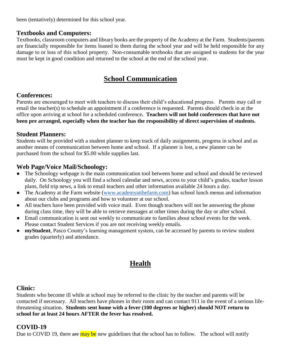been (tentatively) determined for this school year.

#### **Textbooks and Computers:**

Textbooks, classroom computers and library books are the property of the Academy at the Farm. Students/parents are financially responsible for items loaned to them during the school year and will be held responsible for any damage to or loss of this school property. Non-consumable textbooks that are assigned to students for the year must be kept in good condition and returned to the school at the end of the school year.

## **School Communication**

#### **Conferences:**

Parents are encouraged to meet with teachers to discuss their child's educational progress. Parents may call or email the teacher(s) to schedule an appointment if a conference is requested. Parents should check in at the office upon arriving at school for a scheduled conference**. Teachers will not hold conferences that have not been pre arranged, especially when the teacher has the responsibility of direct supervision of students.** 

#### **Student Planners:**

Students will be provided with a student planner to keep track of daily assignments, progress in school and as another means of communication between home and school. If a planner is lost, a new planner can be purchased from the school for \$5.00 while supplies last.

#### **Web Page/Voice Mail/Schoology:**

- The Schoology webpage is the main communication tool between home and school and should be reviewed daily. On Schoology you will find a school calendar and news, access to your child's grades, teacher lesson plans, field trip news, a link to email teachers and other information available 24 hours a day.
- The Academy at the Farm website [\(www.academyatthefarm.com\)](http://www.academyatthefarm.com/) has school lunch menus and information about our clubs and programs and how to volunteer at our school.
- All teachers have been provided with voice mail. Even though teachers will not be answering the phone during class time, they will be able to retrieve messages at other times during the day or after school.
- Email communication is sent out weekly to communicate to families about school events for the week. Please contact Student Services if you are not receiving weekly emails.
- **myStudent**, Pasco County's learning management system, can be accessed by parents to review student grades (quarterly) and attendance.

## **Health**

#### **Clinic:**

Students who become ill while at school may be referred to the clinic by the teacher and parents will be contacted if necessary. All teachers have phones in their room and can contact 911 in the event of a serious lifethreatening situation. **Students sent home with a fever (100 degrees or higher) should NOT return to school for at least 24 hours AFTER the fever has resolved.**

#### **COVID-19**

Due to COVID 19, there are may be new guidelines that the school has to follow. The school will notify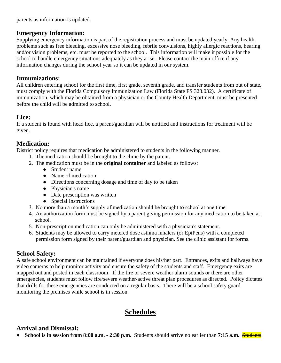parents as information is updated.

#### **Emergency Information:**

Supplying emergency information is part of the registration process and must be updated yearly. Any health problems such as free bleeding, excessive nose bleeding, febrile convulsions, highly allergic reactions, hearing and/or vision problems, etc. must be reported to the school. This information will make it possible for the school to handle emergency situations adequately as they arise. Please contact the main office if any information changes during the school year so it can be updated in our system.

#### **Immunizations:**

All children entering school for the first time, first grade, seventh grade, and transfer students from out of state, must comply with the Florida Compulsory Immunization Law (Florida State FS 323.032). A certificate of immunization, which may be obtained from a physician or the County Health Department, must be presented before the child will be admitted to school.

#### **Lice:**

If a student is found with head lice, a parent/guardian will be notified and instructions for treatment will be given.

#### **Medication:**

District policy requires that medication be administered to students in the following manner.

- 1. The medication should be brought to the clinic by the parent.
- 2. The medication must be in the **original container** and labeled as follows:
	- Student name
	- Name of medication
	- Directions concerning dosage and time of day to be taken
	- Physician's name
	- Date prescription was written
	- Special Instructions
- 3. No more than a month's supply of medication should be brought to school at one time.
- 4. An authorization form must be signed by a parent giving permission for any medication to be taken at school.
- 5. Non-prescription medication can only be administered with a physician's statement.
- 6. Students may be allowed to carry metered dose asthma inhalers (or EpiPens) with a completed permission form signed by their parent/guardian and physician. See the clinic assistant for forms.

#### **School Safety:**

A safe school environment can be maintained if everyone does his/her part. Entrances, exits and hallways have video cameras to help monitor activity and ensure the safety of the students and staff. Emergency exits are mapped out and posted in each classroom. If the fire or severe weather alarm sounds or there are other emergencies, students must follow fire/severe weather/active threat plan procedures as directed. Policy dictates that drills for these emergencies are conducted on a regular basis. There will be a school safety guard monitoring the premises while school is in session.

## **Schedules**

## **Arrival and Dismissal:**

● **School is in session from 8:00 a.m. - 2:30 p.m**. Students should arrive no earlier than **7:15 a.m.** Students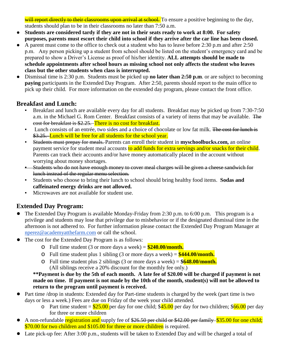will report directly to their classrooms upon arrival at school. To ensure a positive beginning to the day, students should plan to be in their classrooms no later than 7:50 a.m.

- **Students are considered tardy if they are not in their seats ready to work at 8:00. For safety purposes, parents must escort their child into school if they arrive after the car line has been closed.**
- A parent must come to the office to check out a student who has to leave before 2:30 p.m and after 2:50 p.m. Any person picking up a student from school should be listed on the student's emergency card and be prepared to show a Driver's License as proof of his/her identity. **ALL attempts should be made to schedule appointments after school hours as missing school not only affects the student who leaves class but the other students when class is interrupted.**
- Dismissal time is 2:30 p.m. Students must be picked up **no later than 2:50 p.m**. or are subject to becoming **paying** participants in the Extended Day Program. After 2:50, parents should report to the main office to pick up their child. For more information on the extended day program, please contact the front office.

## **Breakfast and Lunch:**

- Breakfast and lunch are available every day for all students. Breakfast may be picked up from 7:30-7:50 a.m. in the Michael G. Rom Center. Breakfast consists of a variety of items that may be available. The cost for breakfast is \$2.25. There is no cost for breakfast.
- Lunch consists of an entrée, two sides and a choice of chocolate or low fat milk. The cost for lunch is \$3.25. Lunch will be free for all students for the school year.
- Students must prepay for meals. Parents can enroll their student in **myschoolbucks.com**, an online payment service for student meal accounts to add funds for extra servings and/or snacks for their child. Parents can track their accounts and/or have money automatically placed in the account without worrying about money shortages.
- **EXTUDENTS 200 Students who do not have enough money to cover meal charges will be given a cheese sandwich for** lunch instead of the regular menu selection.
- Students who choose to bring their lunch to school should bring healthy food items. Sodas and **caffeinated energy drinks are not allowed.**
- Microwaves are not available for student use.

## **Extended Day Program:**

- The Extended Day Program is available Monday-Friday from 2:30 p.m. to 6:00 p.m. This program is a privilege and students may lose that privilege due to misbehavior or if the designated dismissal time in the afternoon is not adhered to. For further information please contact the Extended Day Program Manager at [nperez@academyatthefarm.com](mailto:nperez@academyatthefarm.com) or call the school.
- The cost for the Extended Day Program is as follows:
	- o Full time student (3 or more days a week) = **\$240.00/month.**
	- o Full time student plus 1 sibling (3 or more days a week) = **\$444.00/month.**
	- o Full time student plus 2 siblings (3 or more days a week) = **\$648.00/month.** (All siblings receive a 20% discount for the monthly fee only.)

**\*\*Payment is due by the 5th of each month. A late fee of \$20.00 will be charged if payment is not made on time. If payment is not made by the 10th of the month, student(s) will not be allowed to return to the program until payment is received.** 

- Part time /drop in students: Extended day for Part-time students is charged by the week (part time is two days or less a week.) Fees are due on Friday of the week your child attended.
	- o Part time student =  $$25.00$  per day for one child;  $$45.00$  per day for two children;  $$66.00$  per day for three or more children
- A non-refundable registration and supply fee of \$26.50 per child or \$42.00 per family \$35.00 for one child; \$70.00 for two children and \$105.00 for three or more children is required.
- Late pick-up fee: After 3:00 p.m., students will be taken to Extended Day and will be charged a total of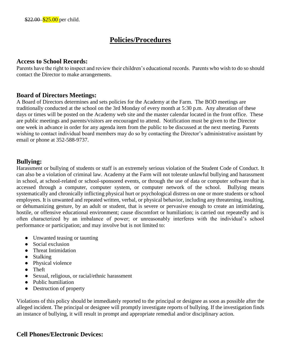## **Policies/Procedures**

#### **Access to School Records:**

Parents have the right to inspect and review their children's educational records. Parents who wish to do so should contact the Director to make arrangements.

#### **Board of Directors Meetings:**

A Board of Directors determines and sets policies for the Academy at the Farm. The BOD meetings are traditionally conducted at the school on the 3rd Monday of every month at 5:30 p.m. Any alteration of these days or times will be posted on the Academy web site and the master calendar located in the front office. These are public meetings and parents/visitors are encouraged to attend. Notification must be given to the Director one week in advance in order for any agenda item from the public to be discussed at the next meeting. Parents wishing to contact individual board members may do so by contacting the Director's administrative assistant by email or phone at 352-588-9737.

#### **Bullying:**

Harassment or bullying of students or staff is an extremely serious violation of the Student Code of Conduct. It can also be a violation of criminal law. Academy at the Farm will not tolerate unlawful bullying and harassment in school, at school-related or school-sponsored events, or through the use of data or computer software that is accessed through a computer, computer system, or computer network of the school. Bullying means systematically and chronically inflicting physical hurt or psychological distress on one or more students or school employees. It is unwanted and repeated written, verbal, or physical behavior, including any threatening, insulting, or dehumanizing gesture, by an adult or student, that is severe or pervasive enough to create an intimidating, hostile, or offensive educational environment; cause discomfort or humiliation; is carried out repeatedly and is often characterized by an imbalance of power; or unreasonably interferes with the individual's school performance or participation; and may involve but is not limited to:

- Unwanted teasing or taunting
- Social exclusion
- Threat Intimidation
- Stalking
- Physical violence
- Theft
- Sexual, religious, or racial/ethnic harassment
- Public humiliation
- Destruction of property

Violations of this policy should be immediately reported to the principal or designee as soon as possible after the alleged incident. The principal or designee will promptly investigate reports of bullying. If the investigation finds an instance of bullying, it will result in prompt and appropriate remedial and/or disciplinary action.

#### **Cell Phones/Electronic Devices:**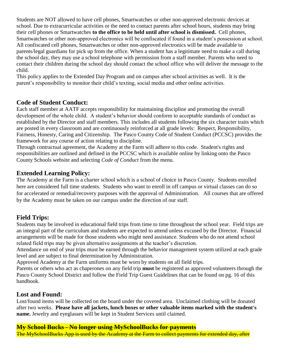Students are NOT allowed to have cell phones, Smartwatches or other non-approved electronic devices at school. Due to extracurricular activities or the need to contact parents after school hours, students may bring their cell phones or Smartwatches **to the office to be held until after school is dismissed.** Cell phones, Smartwatches or other non-approved electronics will be confiscated if found in a student's possession at school. All confiscated cell phones, Smartwatches or other non-approved electronics will be made available to parents/legal guardians for pick up from the office. When a student has a legitimate need to make a call during the school day, they may use a school telephone with permission from a staff member. Parents who need to contact their children during the school day should contact the school office who will deliver the message to the child.

This policy applies to the Extended Day Program and on campus after school activities as well. It is the parent's responsibility to monitor their child's texting, social media and other online activities.

#### **Code of Student Conduct:**

Each staff member at AATF accepts responsibility for maintaining discipline and promoting the overall development of the whole child. A student's behavior should conform to acceptable standards of conduct as established by the Director and staff members. This includes all students following the six character traits which are posted in every classroom and are continuously reinforced at all grade levels: Respect, Responsibility, Fairness, Honesty, Caring and Citizenship. The Pasco County Code of Student Conduct (PCCSC) provides the framework for any course of action relating to discipline.

Through contractual agreement, the Academy at the Farm will adhere to this code.Student's rights and responsibilities are outlined and defined in the PCCSC which is available online by linking onto the Pasco County Schools website and selecting *Code of Conduct* from the menu.

#### **Extended Learning Policy:**

The Academy at the Farm is a charter school which is a school of choice in Pasco County. Students enrolled here are considered full time students. Students who want to enroll in off campus or virtual classes can do so for accelerated or remedial/recovery purposes with the approval of Administration. All courses that are offered by the Academy must be taken on our campus under the direction of our staff.

#### **Field Trips:**

Students may be involved in educational field trips from time to time throughout the school year. Field trips are an integral part of the curriculum and students are expected to attend unless excused by the Director. Financial arrangements will be made for those students who might need assistance. Students who do not attend school related field trips may be given alternative assignments at the teacher's discretion.

Attendance on end of year trips must be earned through the behavior management system utilized at each grade level and are subject to final determination by Administration.

Approved Academy at the Farm uniforms must be worn by students on all field trips.

Parents or others who act as chaperones on any field trip **must** be registered as approved volunteers through the Pasco County School District and follow the Field Trip Guest Guidelines that can be found on pg. 16 of this handbook.

#### **Lost and Found:**

Lost/found items will be collected on the board under the covered area. Unclaimed clothing will be donated after two weeks. **Please have all jackets, lunch boxes or other valuable items marked with the student's name.** Jewelry and eyeglasses will be kept in Student Services until claimed.

#### **My School Bucks - No longer using MySchoolBucks for payments**

The MySchoolBucks App is used by the Academy at the Farm to collect payments for extended day, after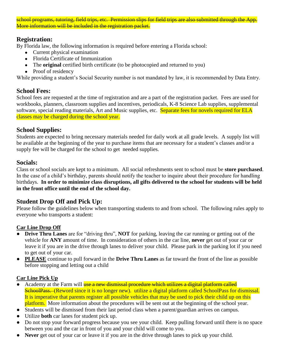school programs, tutoring, field trips, etc. Permission slips for field trips are also submitted through the App More information will be included in the registration packet.

#### **Registration:**

By Florida law, the following information is required before entering a Florida school:

- Current physical examination
- Florida Certificate of Immunization
- The **original** certified birth certificate (to be photocopied and returned to you)
- Proof of residency

While providing a student's Social Security number is not mandated by law, it is recommended by Data Entry.

#### **School Fees:**

School fees are requested at the time of registration and are a part of the registration packet. Fees are used for workbooks, planners, classroom supplies and incentives, periodicals, K-8 Science Lab supplies, supplemental software, special reading materials, Art and Music supplies, etc. Separate fees for novels required for ELA classes may be charged during the school year.

#### **School Supplies:**

Students are expected to bring necessary materials needed for daily work at all grade levels. A supply list will be available at the beginning of the year to purchase items that are necessary for a student's classes and/or a supply fee will be charged for the school to get needed supplies.

#### **Socials:**

Class or school socials are kept to a minimum. All social refreshments sent to school must be **store purchased**. In the case of a child's birthday, parents should notify the teacher to inquire about their procedure for handling birthdays. **In order to minimize class disruptions, all gifts delivered to the school for students will be held in the front office until the end of the school day.** 

#### **Student Drop Off and Pick Up:**

Please follow the guidelines below when transporting students to and from school. The following rules apply to everyone who transports a student:

#### **Car Line Drop Off**

- **Drive Thru Lanes** are for "driving thru", **NOT** for parking, leaving the car running or getting out of the vehicle for **ANY** amount of time. In consideration of others in the car line, **never** get out of your car or leave it if you are in the drive through lanes to deliver your child. Please park in the parking lot if you need to get out of your car.
- **PLEASE** continue to pull forward in the **Drive Thru Lanes** as far toward the front of the line as possible before stopping and letting out a child

#### **Car Line Pick Up**

- Academy at the Farm will use a new dismissal procedure which utilizes a digital platform called SchoolPass. (Reword since it is no longer new). utilize a digital platform called SchoolPass for dismissal. It is imperative that parents register all possible vehicles that may be used to pick their child up on this platform. More information about the procedures will be sent out at the beginning of the school year.
- Students will be dismissed from their last period class when a parent/guardian arrives on campus.
- Utilize **both** car lanes for student pick up.
- Do not stop your forward progress because you see your child. Keep pulling forward until there is no space between you and the car in front of you and your child will come to you.
- Never get out of your car or leave it if you are in the drive through lanes to pick up your child.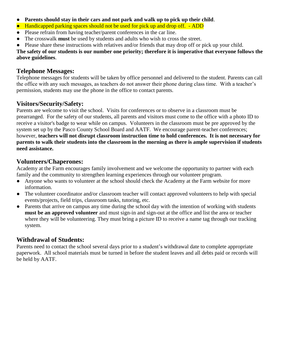- **Parents should stay in their cars and not park and walk up to pick up their child**.
- Handicapped parking spaces should not be used for pick up and drop off. ADD
- Please refrain from having teacher/parent conferences in the car line.
- The crosswalk **must** be used by students and adults who wish to cross the street.
- Please share these instructions with relatives and/or friends that may drop off or pick up your child.

**The safety of our students is our number one priority; therefore it is imperative that everyone follows the above guidelines**.

#### **Telephone Messages:**

Telephone messages for students will be taken by office personnel and delivered to the student. Parents can call the office with any such messages, as teachers do not answer their phone during class time. With a teacher's permission, students may use the phone in the office to contact parents.

#### **Visitors/Security/Safety:**

Parents are welcome to visit the school. Visits for conferences or to observe in a classroom must be prearranged. For the safety of our students, all parents and visitors must come to the office with a photo ID to receive a visitor's badge to wear while on campus. Volunteers in the classroom must be pre approved by the system set up by the Pasco County School Board and AATF. We encourage parent-teacher conferences; however, **teachers will not disrupt classroom instruction time to hold conferences. It is not necessary for parents to walk their students into the classroom in the morning as there is ample supervision if students need assistance.**

#### **Volunteers/Chaperones:**

Academy at the Farm encourages family involvement and we welcome the opportunity to partner with each family and the community to strengthen learning experiences through our volunteer program.

- Anyone who wants to volunteer at the school should check the Academy at the Farm website for more information.
- The volunteer coordinator and/or classroom teacher will contact approved volunteers to help with special events/projects, field trips, classroom tasks, tutoring, etc.
- Parents that arrive on campus any time during the school day with the intention of working with students **must be an approved volunteer** and must sign-in and sign-out at the office and list the area or teacher where they will be volunteering. They must bring a picture ID to receive a name tag through our tracking system.

## **Withdrawal of Students:**

Parents need to contact the school several days prior to a student's withdrawal date to complete appropriate paperwork. All school materials must be turned in before the student leaves and all debts paid or records will be held by AATF.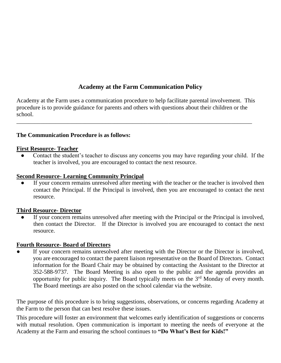## **Academy at the Farm Communication Policy**

Academy at the Farm uses a communication procedure to help facilitate parental involvement. This procedure is to provide guidance for parents and others with questions about their children or the school.

\_\_\_\_\_\_\_\_\_\_\_\_\_\_\_\_\_\_\_\_\_\_\_\_\_\_\_\_\_\_\_\_\_\_\_\_\_\_\_\_\_\_\_\_\_\_\_\_\_\_\_\_\_\_\_\_\_\_\_\_\_\_\_\_\_\_\_\_\_\_\_\_\_\_\_\_\_\_\_

#### **The Communication Procedure is as follows:**

#### **First Resource- Teacher**

Contact the student's teacher to discuss any concerns you may have regarding your child. If the teacher is involved, you are encouraged to contact the next resource.

#### **Second Resource- Learning Community Principal**

If your concern remains unresolved after meeting with the teacher or the teacher is involved then contact the Principal. If the Principal is involved, then you are encouraged to contact the next resource.

#### **Third Resource- Director**

If your concern remains unresolved after meeting with the Principal or the Principal is involved, then contact the Director. If the Director is involved you are encouraged to contact the next resource.

#### **Fourth Resource- Board of Directors**

If your concern remains unresolved after meeting with the Director or the Director is involved, you are encouraged to contact the parent liaison representative on the Board of Directors. Contact information for the Board Chair may be obtained by contacting the Assistant to the Director at 352-588-9737. The Board Meeting is also open to the public and the agenda provides an opportunity for public inquiry. The Board typically meets on the 3rd Monday of every month. The Board meetings are also posted on the school calendar via the website.

The purpose of this procedure is to bring suggestions, observations, or concerns regarding Academy at the Farm to the person that can best resolve these issues.

This procedure will foster an environment that welcomes early identification of suggestions or concerns with mutual resolution. Open communication is important to meeting the needs of everyone at the Academy at the Farm and ensuring the school continues to **"Do What's Best for Kids!"**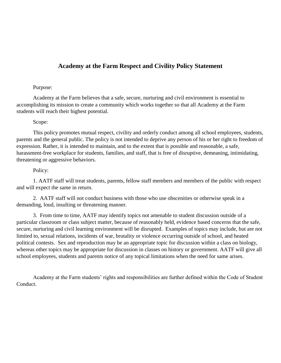#### **Academy at the Farm Respect and Civility Policy Statement**

#### Purpose:

Academy at the Farm believes that a safe, secure, nurturing and civil environment is essential to accomplishing its mission to create a community which works together so that all Academy at the Farm students will reach their highest potential.

#### Scope:

This policy promotes mutual respect, civility and orderly conduct among all school employees, students, parents and the general public. The policy is not intended to deprive any person of his or her right to freedom of expression. Rather, it is intended to maintain, and to the extent that is possible and reasonable, a safe, harassment-free workplace for students, families, and staff, that is free of disruptive, demeaning, intimidating, threatening or aggressive behaviors.

#### Policy:

1. AATF staff will treat students, parents, fellow staff members and members of the public with respect and will expect the same in return.

2. AATF staff will not conduct business with those who use obscenities or otherwise speak in a demanding, loud, insulting or threatening manner.

3. From time to time, AATF may identify topics not amenable to student discussion outside of a particular classroom or class subject matter, because of reasonably held, evidence based concerns that the safe, secure, nurturing and civil learning environment will be disrupted. Examples of topics may include, but are not limited to, sexual relations, incidents of war, brutality or violence occurring outside of school, and heated political contests. Sex and reproduction may be an appropriate topic for discussion within a class on biology, whereas other topics may be appropriate for discussion in classes on history or government. AATF will give all school employees, students and parents notice of any topical limitations when the need for same arises.

Academy at the Farm students' rights and responsibilities are further defined within the Code of Student Conduct.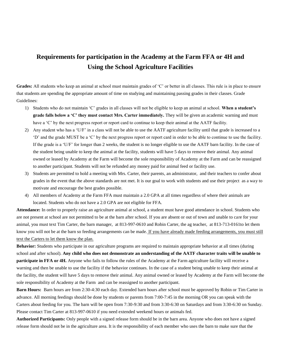## **Requirements for participation in the Academy at the Farm FFA or 4H and Using the School Agriculture Facilities**

Grades: All students who keep an animal at school must maintain grades of 'C' or better in all classes. This rule is in place to ensure that students are spending the appropriate amount of time on studying and maintaining passing grades in their classes. Grade Guidelines:

- 1) Students who do not maintain 'C' grades in all classes will not be eligible to keep an animal at school. **When a student's grade falls below a 'C' they must contact Mrs. Carter immediately.** They will be given an academic warning and must have a 'C' by the next progress report or report card to continue to keep their animal at the AATF facility.
- 2) Any student who has a 'U/F' in a class will not be able to use the AATF agriculture facility until that grade is increased to a 'D' and the grade MUST be a 'C' by the next progress report or report card in order to be able to continue to use the facility. If the grade is a 'U/F' for longer than 2 weeks, the student is no longer eligible to use the AATF barn facility. In the case of the student being unable to keep the animal at the facility, students will have 5 days to remove their animal. Any animal owned or leased by Academy at the Farm will become the sole responsibility of Academy at the Farm and can be reassigned to another participant. Students will not be refunded any money paid for animal feed or facility use.
- 3) Students are permitted to hold a meeting with Mrs. Carter, their parents, an administrator, and their teachers to confer about grades in the event that the above standards are not met. It is our goal to work with students and use their project as a way to motivate and encourage the best grades possible.
- 4) All members of Academy at the Farm FFA must maintain a 2.0 GPA at all times regardless of where their animals are located. Students who do not have a 2.0 GPA are not eligible for FFA.

**Attendance:** In order to properly raise an agriculture animal at school, a student must have good attendance in school. Students who are not present at school are not permitted to be at the barn after school. If you are absent or out of town and unable to care for your animal, you must text Tim Carter, the barn manager, at 813-997-0610 and Robin Carter, the ag teacher, at 813-713-0161to let them know you will not be at the barn so feeding arrangements can be made. If you have already made feeding arrangements, you must still text the Carters to let them know the plan.

**Behavior:** Students who participate in our agriculture programs are required to maintain appropriate behavior at all times (during school and after school). **Any child who does not demonstrate an understanding of the AATF character traits will be unable to participate in FFA or 4H.** Anyone who fails to follow the rules of the Academy at the Farm agriculture facility will receive a warning and then be unable to use the facility if the behavior continues. In the case of a student being unable to keep their animal at the facility, the student will have 5 days to remove their animal. Any animal owned or leased by Academy at the Farm will become the sole responsibility of Academy at the Farm and can be reassigned to another participant.

**Barn Hours:** Barn hours are from 2:30-4:30 each day. Extended barn hours after school must be approved by Robin or Tim Carter in advance. All morning feedings should be done by students or parents from 7:00-7:45 in the morning OR you can speak with the Carters about feeding for you. The barn will be open from 7:30-9:30 and from 3:30-6:30 on Saturdays and from 3:30-6:30 on Sunday. Please contact Tim Carter at 813-997-0610 if you need extended weekend hours or animals fed.

**Authorized Participants:** Only people with a signed release form should be in the barn area. Anyone who does not have a signed release form should not be in the agriculture area. It is the responsibility of each member who uses the barn to make sure that the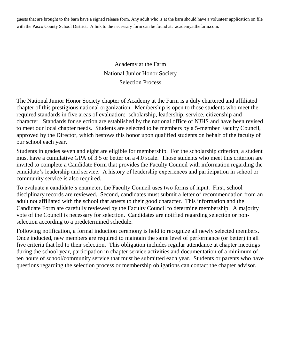guests that are brought to the barn have a signed release form. Any adult who is at the barn should have a volunteer application on file with the Pasco County School District. A link to the necessary form can be found at: academyatthefarm.com.

> Academy at the Farm National Junior Honor Society Selection Process

The National Junior Honor Society chapter of Academy at the Farm is a duly chartered and affiliated chapter of this prestigious national organization. Membership is open to those students who meet the required standards in five areas of evaluation: scholarship, leadership, service, citizenship and character. Standards for selection are established by the national office of NJHS and have been revised to meet our local chapter needs. Students are selected to be members by a 5-member Faculty Council, approved by the Director, which bestows this honor upon qualified students on behalf of the faculty of our school each year.

Students in grades seven and eight are eligible for membership. For the scholarship criterion, a student must have a cumulative GPA of 3.5 or better on a 4.0 scale. Those students who meet this criterion are invited to complete a Candidate Form that provides the Faculty Council with information regarding the candidate's leadership and service. A history of leadership experiences and participation in school or community service is also required.

To evaluate a candidate's character, the Faculty Council uses two forms of input. First, school disciplinary records are reviewed. Second, candidates must submit a letter of recommendation from an adult not affiliated with the school that attests to their good character. This information and the Candidate Form are carefully reviewed by the Faculty Council to determine membership. A majority vote of the Council is necessary for selection. Candidates are notified regarding selection or nonselection according to a predetermined schedule.

Following notification, a formal induction ceremony is held to recognize all newly selected members. Once inducted, new members are required to maintain the same level of performance (or better) in all five criteria that led to their selection. This obligation includes regular attendance at chapter meetings during the school year, participation in chapter service activities and documentation of a minimum of ten hours of school/community service that must be submitted each year. Students or parents who have questions regarding the selection process or membership obligations can contact the chapter advisor.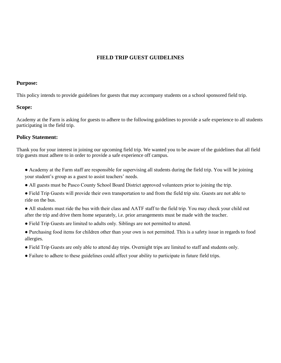#### **FIELD TRIP GUEST GUIDELINES**

#### **Purpose:**

This policy intends to provide guidelines for guests that may accompany students on a school sponsored field trip.

#### **Scope:**

Academy at the Farm is asking for guests to adhere to the following guidelines to provide a safe experience to all students participating in the field trip.

#### **Policy Statement:**

Thank you for your interest in joining our upcoming field trip. We wanted you to be aware of the guidelines that all field trip guests must adhere to in order to provide a safe experience off campus.

- Academy at the Farm staff are responsible for supervising all students during the field trip. You will be joining your student's group as a guest to assist teachers' needs.
- All guests must be Pasco County School Board District approved volunteers prior to joining the trip.
- Field Trip Guests will provide their own transportation to and from the field trip site. Guests are not able to ride on the bus.
- All students must ride the bus with their class and AATF staff to the field trip. You may check your child out after the trip and drive them home separately, i.e. prior arrangements must be made with the teacher.
- Field Trip Guests are limited to adults only. Siblings are not permitted to attend.
- Purchasing food items for children other than your own is not permitted. This is a safety issue in regards to food allergies.
- Field Trip Guests are only able to attend day trips. Overnight trips are limited to staff and students only.
- Failure to adhere to these guidelines could affect your ability to participate in future field trips.